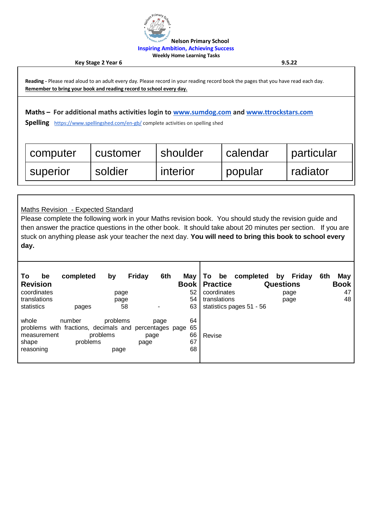

**Nelson Primary School**

## **Inspiring Ambition, Achieving Success Weekly Home Learning Tasks**

**Key Stage 2 Year 6 9.5.22** 

**Reading -** Please read aloud to an adult every day. Please record in your reading record book the pages that you have read each day. **Remember to bring your book and reading record to school every day. Maths – For additional maths activities login to [www.sumdog.com](http://www.sumdog.com/) and [www.ttrockstars.com](http://www.ttrockstars.com/) Spelling** <https://www.spellingshed.com/en-gb/> complete activities on spelling shed computer customer shoulder calendar particular superior soldier interior popular radiator

## Maths Revision - Expected Standard

Please complete the following work in your Maths revision book. You should study the revision guide and then answer the practice questions in the other book. It should take about 20 minutes per section. If you are stuck on anything please ask your teacher the next day. **You will need to bring this book to school every day.** 

| Τo<br>be<br><b>Revision</b>                | completed                                                                                | by               | 6th<br><b>Friday</b> | May<br><b>Book</b>         | completed<br>be<br>To.<br><b>Practice</b> | Friday<br>by<br><b>Questions</b> | May<br>6th<br><b>Book</b> |
|--------------------------------------------|------------------------------------------------------------------------------------------|------------------|----------------------|----------------------------|-------------------------------------------|----------------------------------|---------------------------|
| coordinates                                |                                                                                          | page             |                      | 52                         | coordinates                               | page                             | 47                        |
| translations                               |                                                                                          | page             |                      | 54                         | translations                              | page                             | 48                        |
| statistics                                 | pages                                                                                    | 58               |                      | 63                         | statistics pages 51 - 56                  |                                  |                           |
| whole<br>measurement<br>shape<br>reasoning | number<br>problems with fractions, decimals and percentages page<br>problems<br>problems | problems<br>page | page<br>page<br>page | 64<br>65<br>66<br>67<br>68 | Revise                                    |                                  |                           |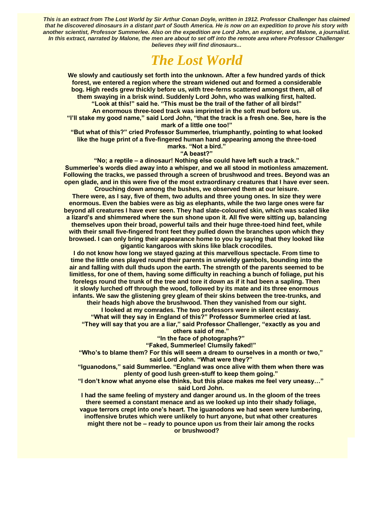*This is an extract from The Lost World by Sir Arthur Conan Doyle, written in 1912. Professor Challenger has claimed that he discovered dinosaurs in a distant part of South America. He is now on an expedition to prove his story with another scientist, Professor Summerlee. Also on the expedition are Lord John, an explorer, and Malone, a journalist. In this extract, narrated by Malone, the men are about to set off into the remote area where Professor Challenger believes they will find dinosaurs...* 

## *The Lost World*

**We slowly and cautiously set forth into the unknown. After a few hundred yards of thick forest, we entered a region where the stream widened out and formed a considerable bog. High reeds grew thickly before us, with tree-ferns scattered amongst them, all of them swaying in a brisk wind. Suddenly Lord John, who was walking first, halted. "Look at this!" said he. "This must be the trail of the father of all birds!" An enormous three-toed track was imprinted in the soft mud before us. "I'll stake my good name," said Lord John, "that the track is a fresh one. See, here is the**

**mark of a little one too!"**

**"But what of this?" cried Professor Summerlee, triumphantly, pointing to what looked like the huge print of a five-fingered human hand appearing among the three-toed marks. "Not a bird."**

**"A beast?"**

**"No; a reptile – a dinosaur! Nothing else could have left such a track." Summerlee's words died away into a whisper, and we all stood in motionless amazement. Following the tracks, we passed through a screen of brushwood and trees. Beyond was an open glade, and in this were five of the most extraordinary creatures that I have ever seen. Crouching down among the bushes, we observed them at our leisure.**

**There were, as I say, five of them, two adults and three young ones. In size they were enormous. Even the babies were as big as elephants, while the two large ones were far beyond all creatures I have ever seen. They had slate-coloured skin, which was scaled like a lizard's and shimmered where the sun shone upon it. All five were sitting up, balancing themselves upon their broad, powerful tails and their huge three-toed hind feet, while with their small five-fingered front feet they pulled down the branches upon which they browsed. I can only bring their appearance home to you by saying that they looked like gigantic kangaroos with skins like black crocodiles.**

**I do not know how long we stayed gazing at this marvellous spectacle. From time to time the little ones played round their parents in unwieldy gambols, bounding into the air and falling with dull thuds upon the earth. The strength of the parents seemed to be limitless, for one of them, having some difficulty in reaching a bunch of foliage, put his forelegs round the trunk of the tree and tore it down as if it had been a sapling. Then it slowly lurched off through the wood, followed by its mate and its three enormous infants. We saw the glistening grey gleam of their skins between the tree-trunks, and**

**their heads high above the brushwood. Then they vanished from our sight.** 

**I looked at my comrades. The two professors were in silent ecstasy. "What will they say in England of this?" Professor Summerlee cried at last. "They will say that you are a liar," said Professor Challenger, "exactly as you and**

**others said of me."**

**"In the face of photographs?"**

**"Faked, Summerlee! Clumsily faked!"**

**"Who's to blame them? For this will seem a dream to ourselves in a month or two," said Lord John. "What were they?"**

**"Iguanodons," said Summerlee. "England was once alive with them when there was plenty of good lush green-stuff to keep them going."**

**"I don't know what anyone else thinks, but this place makes me feel very uneasy…" said Lord John.**

**I had the same feeling of mystery and danger around us. In the gloom of the trees there seemed a constant menace and as we looked up into their shady foliage, vague terrors crept into one's heart. The iguanodons we had seen were lumbering, inoffensive brutes which were unlikely to hurt anyone, but what other creatures might there not be – ready to pounce upon us from their lair among the rocks or brushwood?**